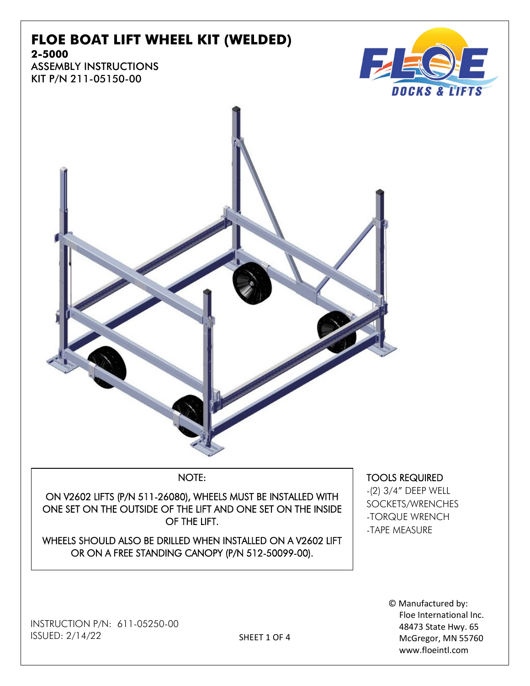# **FLOE BOAT LIFT WHEEL KIT (WELDED)**



KIT P/N 211-05150-00





### NOTE:

ON V2602 LIFTS (P/N 511-26080), WHEELS MUST BE INSTALLED WITH ONE SET ON THE OUTSIDE OF THE LIFT AND ONE SET ON THE INSIDE OF THE LIFT.

WHEELS SHOULD ALSO BE DRILLED WHEN INSTALLED ON A V2602 LIFT OR ON A FREE STANDING CANOPY (P/N 512-50099-00).

INSTRUCTION P/N: 611-05250-00 ISSUED: 2/14/22

TOOLS REQUIRED

-(2) 3/4" DEEP WELL SOCKETS/WRENCHES -TORQUE WRENCH -TAPE MEASURE

> © Manufactured by: Floe International Inc. 48473 State Hwy. 65 McGregor, MN 55760 www.floeintl.com

SHEET 1 OF 4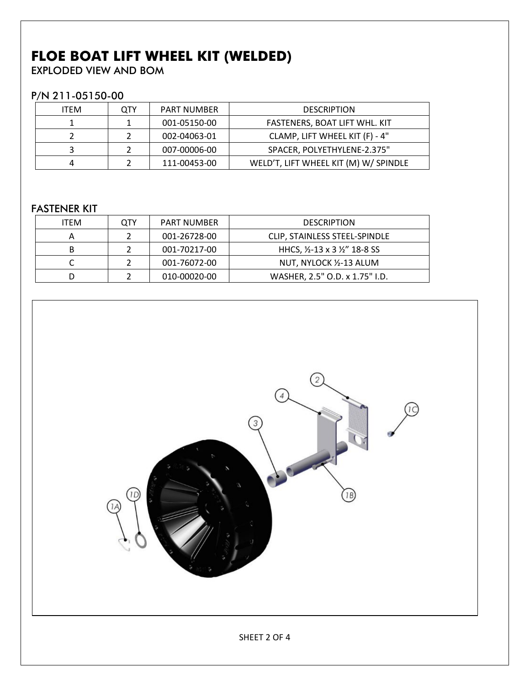## **FLOE BOAT LIFT WHEEL KIT (WELDED)**

EXPLODED VIEW AND BOM

#### P/N 211-05150-00

| <b>ITEM</b> | OTY | PART NUMBER  | <b>DESCRIPTION</b>                    |
|-------------|-----|--------------|---------------------------------------|
|             |     | 001-05150-00 | FASTENERS, BOAT LIFT WHL. KIT         |
|             |     | 002-04063-01 | CLAMP, LIFT WHEEL KIT (F) - 4"        |
|             |     | 007-00006-00 | SPACER, POLYETHYLENE-2.375"           |
|             |     | 111-00453-00 | WELD'T, LIFT WHEEL KIT (M) W/ SPINDLE |

### FASTENER KIT

| <b>ITEM</b> | OTY | <b>PART NUMBER</b> | <b>DESCRIPTION</b>             |
|-------------|-----|--------------------|--------------------------------|
|             |     | 001-26728-00       | CLIP, STAINLESS STEEL-SPINDLE  |
| в           |     | 001-70217-00       | HHCS, 1/2-13 x 3 1/2" 18-8 SS  |
|             |     | 001-76072-00       | NUT, NYLOCK 1/2-13 ALUM        |
|             |     | 010-00020-00       | WASHER, 2.5" O.D. x 1.75" I.D. |

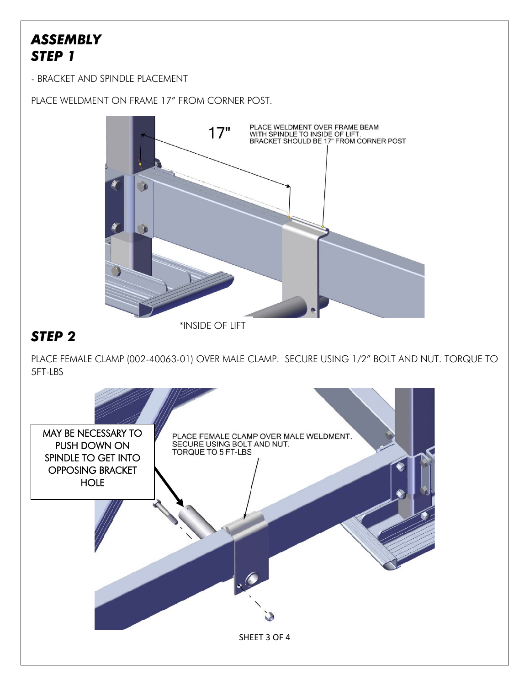### *ASSEMBLY STEP 1*

- BRACKET AND SPINDLE PLACEMENT

PLACE WELDMENT ON FRAME 17" FROM CORNER POST.



\*INSIDE OF LIFT

### *STEP 2*

PLACE FEMALE CLAMP (002-40063-01) OVER MALE CLAMP. SECURE USING 1/2" BOLT AND NUT. TORQUE TO 5FT-LBS